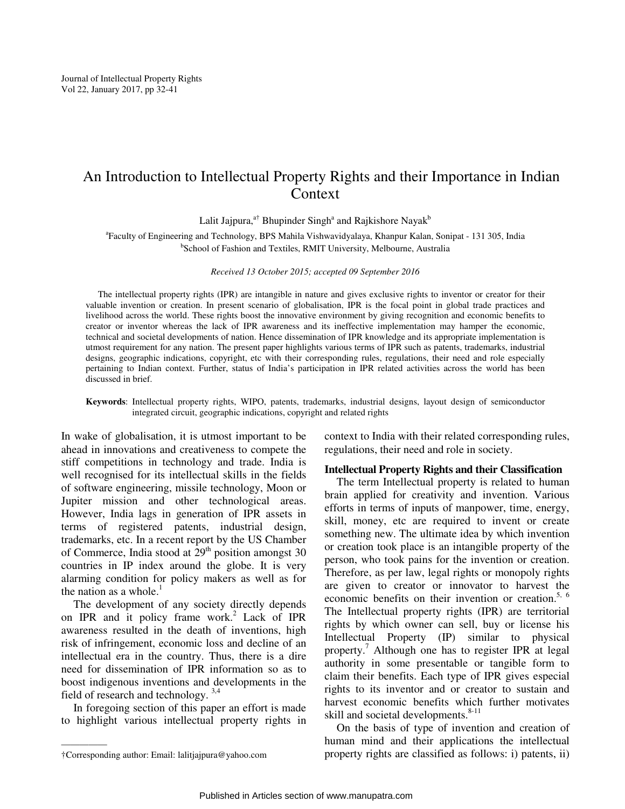# An Introduction to Intellectual Property Rights and their Importance in Indian Context

Lalit Jajpura,<sup>a†</sup> Bhupinder Singh<sup>a</sup> and Rajkishore Nayak<sup>b</sup>

a Faculty of Engineering and Technology, BPS Mahila Vishwavidyalaya, Khanpur Kalan, Sonipat - 131 305, India b School of Fashion and Textiles, RMIT University, Melbourne, Australia

*Received 13 October 2015; accepted 09 September 2016* 

The intellectual property rights (IPR) are intangible in nature and gives exclusive rights to inventor or creator for their valuable invention or creation. In present scenario of globalisation, IPR is the focal point in global trade practices and livelihood across the world. These rights boost the innovative environment by giving recognition and economic benefits to creator or inventor whereas the lack of IPR awareness and its ineffective implementation may hamper the economic, technical and societal developments of nation. Hence dissemination of IPR knowledge and its appropriate implementation is utmost requirement for any nation. The present paper highlights various terms of IPR such as patents, trademarks, industrial designs, geographic indications, copyright, etc with their corresponding rules, regulations, their need and role especially pertaining to Indian context. Further, status of India's participation in IPR related activities across the world has been discussed in brief.

#### **Keywords**: Intellectual property rights, WIPO, patents, trademarks, industrial designs, layout design of semiconductor integrated circuit, geographic indications, copyright and related rights

In wake of globalisation, it is utmost important to be ahead in innovations and creativeness to compete the stiff competitions in technology and trade. India is well recognised for its intellectual skills in the fields of software engineering, missile technology, Moon or Jupiter mission and other technological areas. However, India lags in generation of IPR assets in terms of registered patents, industrial design, trademarks, etc. In a recent report by the US Chamber of Commerce, India stood at  $29<sup>th</sup>$  position amongst 30 countries in IP index around the globe. It is very alarming condition for policy makers as well as for the nation as a whole. $<sup>1</sup>$ </sup>

The development of any society directly depends on IPR and it policy frame work.<sup>2</sup> Lack of IPR awareness resulted in the death of inventions, high risk of infringement, economic loss and decline of an intellectual era in the country. Thus, there is a dire need for dissemination of IPR information so as to boost indigenous inventions and developments in the field of research and technology.  $3,4$ 

In foregoing section of this paper an effort is made to highlight various intellectual property rights in

————— †Corresponding author: Email: lalitjajpura@yahoo.com

context to India with their related corresponding rules, regulations, their need and role in society.

## **Intellectual Property Rights and their Classification**

The term Intellectual property is related to human brain applied for creativity and invention. Various efforts in terms of inputs of manpower, time, energy, skill, money, etc are required to invent or create something new. The ultimate idea by which invention or creation took place is an intangible property of the person, who took pains for the invention or creation. Therefore, as per law, legal rights or monopoly rights are given to creator or innovator to harvest the economic benefits on their invention or creation.<sup>5, 6</sup> The Intellectual property rights (IPR) are territorial rights by which owner can sell, buy or license his Intellectual Property (IP) similar to physical property.<sup>7</sup> Although one has to register IPR at legal authority in some presentable or tangible form to claim their benefits. Each type of IPR gives especial rights to its inventor and or creator to sustain and harvest economic benefits which further motivates skill and societal developments.<sup>8-11</sup>

On the basis of type of invention and creation of human mind and their applications the intellectual property rights are classified as follows: i) patents, ii)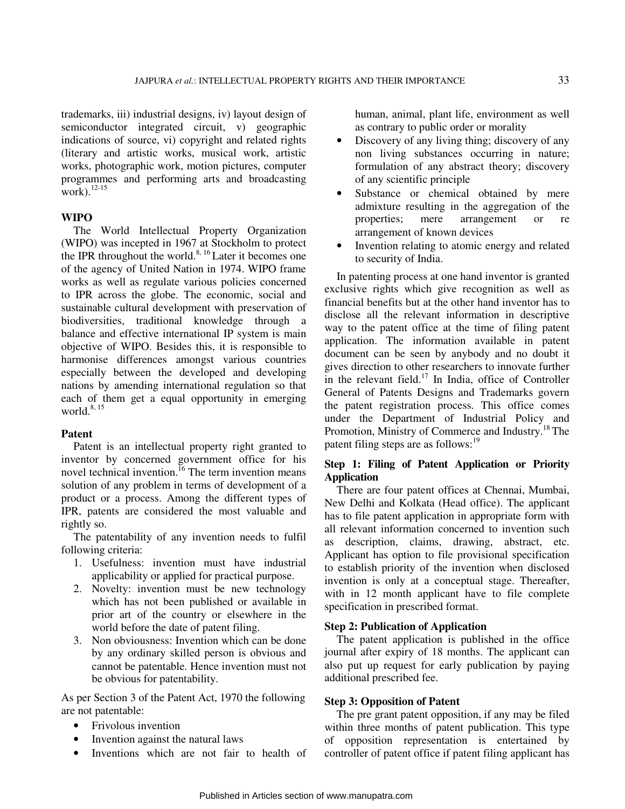trademarks, iii) industrial designs, iv) layout design of semiconductor integrated circuit, v) geographic indications of source, vi) copyright and related rights (literary and artistic works, musical work, artistic works, photographic work, motion pictures, computer programmes and performing arts and broadcasting work). $^{12-15}$ 

#### **WIPO**

The World Intellectual Property Organization (WIPO) was incepted in 1967 at Stockholm to protect the IPR throughout the world. $8, 16$  Later it becomes one of the agency of United Nation in 1974. WIPO frame works as well as regulate various policies concerned to IPR across the globe. The economic, social and sustainable cultural development with preservation of biodiversities, traditional knowledge through a balance and effective international IP system is main objective of WIPO. Besides this, it is responsible to harmonise differences amongst various countries especially between the developed and developing nations by amending international regulation so that each of them get a equal opportunity in emerging world. $8, 15$ 

#### **Patent**

Patent is an intellectual property right granted to inventor by concerned government office for his novel technical invention.<sup>16</sup> The term invention means solution of any problem in terms of development of a product or a process. Among the different types of IPR, patents are considered the most valuable and rightly so.

The patentability of any invention needs to fulfil following criteria:

- 1. Usefulness: invention must have industrial applicability or applied for practical purpose.
- 2. Novelty: invention must be new technology which has not been published or available in prior art of the country or elsewhere in the world before the date of patent filing.
- 3. Non obviousness: Invention which can be done by any ordinary skilled person is obvious and cannot be patentable. Hence invention must not be obvious for patentability.

As per Section 3 of the Patent Act, 1970 the following are not patentable:

- Frivolous invention
- Invention against the natural laws
- Inventions which are not fair to health of

human, animal, plant life, environment as well as contrary to public order or morality

- Discovery of any living thing; discovery of any non living substances occurring in nature; formulation of any abstract theory; discovery of any scientific principle
- Substance or chemical obtained by mere admixture resulting in the aggregation of the properties; mere arrangement or re arrangement of known devices
- Invention relating to atomic energy and related to security of India.

In patenting process at one hand inventor is granted exclusive rights which give recognition as well as financial benefits but at the other hand inventor has to disclose all the relevant information in descriptive way to the patent office at the time of filing patent application. The information available in patent document can be seen by anybody and no doubt it gives direction to other researchers to innovate further in the relevant field.<sup>17</sup> In India, office of Controller General of Patents Designs and Trademarks govern the patent registration process. This office comes under the Department of Industrial Policy and Promotion, Ministry of Commerce and Industry.<sup>18</sup> The patent filing steps are as follows: $^{19}$ 

# **Step 1: Filing of Patent Application or Priority Application**

There are four patent offices at Chennai, Mumbai, New Delhi and Kolkata (Head office). The applicant has to file patent application in appropriate form with all relevant information concerned to invention such as description, claims, drawing, abstract, etc. Applicant has option to file provisional specification to establish priority of the invention when disclosed invention is only at a conceptual stage. Thereafter, with in 12 month applicant have to file complete specification in prescribed format.

#### **Step 2: Publication of Application**

The patent application is published in the office journal after expiry of 18 months. The applicant can also put up request for early publication by paying additional prescribed fee.

# **Step 3: Opposition of Patent**

The pre grant patent opposition, if any may be filed within three months of patent publication. This type of opposition representation is entertained by controller of patent office if patent filing applicant has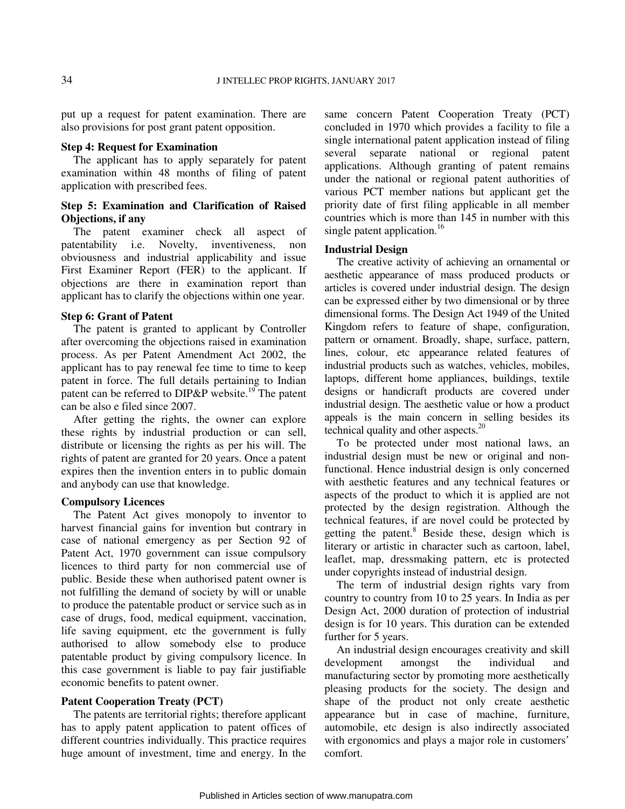put up a request for patent examination. There are also provisions for post grant patent opposition.

#### **Step 4: Request for Examination**

The applicant has to apply separately for patent examination within 48 months of filing of patent application with prescribed fees.

# **Step 5: Examination and Clarification of Raised Objections, if any**

The patent examiner check all aspect of patentability i.e. Novelty, inventiveness, non obviousness and industrial applicability and issue First Examiner Report (FER) to the applicant. If objections are there in examination report than applicant has to clarify the objections within one year.

#### **Step 6: Grant of Patent**

The patent is granted to applicant by Controller after overcoming the objections raised in examination process. As per Patent Amendment Act 2002, the applicant has to pay renewal fee time to time to keep patent in force. The full details pertaining to Indian patent can be referred to DIP&P website.<sup>19</sup> The patent can be also e filed since 2007.

After getting the rights, the owner can explore these rights by industrial production or can sell, distribute or licensing the rights as per his will. The rights of patent are granted for 20 years. Once a patent expires then the invention enters in to public domain and anybody can use that knowledge.

## **Compulsory Licences**

The Patent Act gives monopoly to inventor to harvest financial gains for invention but contrary in case of national emergency as per Section 92 of Patent Act, 1970 government can issue compulsory licences to third party for non commercial use of public. Beside these when authorised patent owner is not fulfilling the demand of society by will or unable to produce the patentable product or service such as in case of drugs, food, medical equipment, vaccination, life saving equipment, etc the government is fully authorised to allow somebody else to produce patentable product by giving compulsory licence. In this case government is liable to pay fair justifiable economic benefits to patent owner.

# **Patent Cooperation Treaty (PCT)**

The patents are territorial rights; therefore applicant has to apply patent application to patent offices of different countries individually. This practice requires huge amount of investment, time and energy. In the same concern Patent Cooperation Treaty (PCT) concluded in 1970 which provides a facility to file a single international patent application instead of filing several separate national or regional patent applications. Although granting of patent remains under the national or regional patent authorities of various PCT member nations but applicant get the priority date of first filing applicable in all member countries which is more than 145 in number with this single patent application.<sup>16</sup>

#### **Industrial Design**

The creative activity of achieving an ornamental or aesthetic appearance of mass produced products or articles is covered under industrial design. The design can be expressed either by two dimensional or by three dimensional forms. The Design Act 1949 of the United Kingdom refers to feature of shape, configuration, pattern or ornament. Broadly, shape, surface, pattern, lines, colour, etc appearance related features of industrial products such as watches, vehicles, mobiles, laptops, different home appliances, buildings, textile designs or handicraft products are covered under industrial design. The aesthetic value or how a product appeals is the main concern in selling besides its technical quality and other aspects. $20$ 

To be protected under most national laws, an industrial design must be new or original and nonfunctional. Hence industrial design is only concerned with aesthetic features and any technical features or aspects of the product to which it is applied are not protected by the design registration. Although the technical features, if are novel could be protected by getting the patent.<sup>8</sup> Beside these, design which is literary or artistic in character such as cartoon, label, leaflet, map, dressmaking pattern, etc is protected under copyrights instead of industrial design.

The term of industrial design rights vary from country to country from 10 to 25 years. In India as per Design Act, 2000 duration of protection of industrial design is for 10 years. This duration can be extended further for 5 years.

An industrial design encourages creativity and skill development amongst the individual and manufacturing sector by promoting more aesthetically pleasing products for the society. The design and shape of the product not only create aesthetic appearance but in case of machine, furniture, automobile, etc design is also indirectly associated with ergonomics and plays a major role in customers' comfort.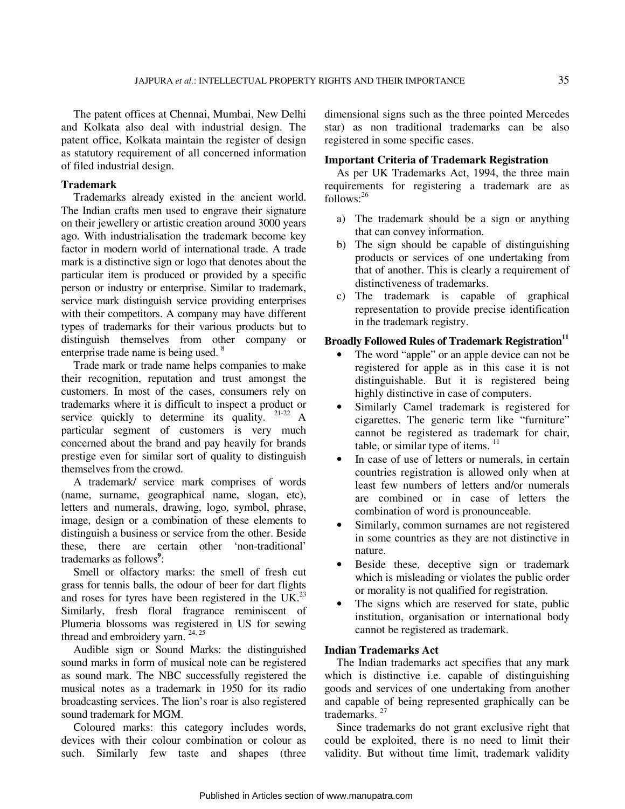The patent offices at Chennai, Mumbai, New Delhi and Kolkata also deal with industrial design. The patent office, Kolkata maintain the register of design as statutory requirement of all concerned information of filed industrial design.

# **Trademark**

Trademarks already existed in the ancient world. The Indian crafts men used to engrave their signature on their jewellery or artistic creation around 3000 years ago. With industrialisation the trademark become key factor in modern world of international trade. A trade mark is a distinctive sign or logo that denotes about the particular item is produced or provided by a specific person or industry or enterprise. Similar to trademark, service mark distinguish service providing enterprises with their competitors. A company may have different types of trademarks for their various products but to distinguish themselves from other company or enterprise trade name is being used.<sup>8</sup>

Trade mark or trade name helps companies to make their recognition, reputation and trust amongst the customers. In most of the cases, consumers rely on trademarks where it is difficult to inspect a product or service quickly to determine its quality.  $21-22$  A particular segment of customers is very much concerned about the brand and pay heavily for brands prestige even for similar sort of quality to distinguish themselves from the crowd.

A trademark/ service mark comprises of words (name, surname, geographical name, slogan, etc), letters and numerals, drawing, logo, symbol, phrase, image, design or a combination of these elements to distinguish a business or service from the other. Beside these, there are certain other 'non-traditional' trademarks as follows<sup>9</sup>:

Smell or olfactory marks: the smell of fresh cut grass for tennis balls, the odour of beer for dart flights and roses for tyres have been registered in the UK.<sup>23</sup> Similarly, fresh floral fragrance reminiscent of Plumeria blossoms was registered in US for sewing thread and embroidery yarn.  $24, 25$ 

Audible sign or Sound Marks: the distinguished sound marks in form of musical note can be registered as sound mark. The NBC successfully registered the musical notes as a trademark in 1950 for its radio broadcasting services. The lion's roar is also registered sound trademark for MGM.

Coloured marks: this category includes words, devices with their colour combination or colour as such. Similarly few taste and shapes (three

dimensional signs such as the three pointed Mercedes star) as non traditional trademarks can be also registered in some specific cases.

## **Important Criteria of Trademark Registration**

As per UK Trademarks Act, 1994, the three main requirements for registering a trademark are as follows:<sup>26</sup>

- a) The trademark should be a sign or anything that can convey information.
- b) The sign should be capable of distinguishing products or services of one undertaking from that of another. This is clearly a requirement of distinctiveness of trademarks.
- c) The trademark is capable of graphical representation to provide precise identification in the trademark registry.

# **Broadly Followed Rules of Trademark Registration<sup>11</sup>**

- The word "apple" or an apple device can not be registered for apple as in this case it is not distinguishable. But it is registered being highly distinctive in case of computers.
- Similarly Camel trademark is registered for cigarettes. The generic term like "furniture" cannot be registered as trademark for chair, table, or similar type of items.  $11$
- In case of use of letters or numerals, in certain countries registration is allowed only when at least few numbers of letters and/or numerals are combined or in case of letters the combination of word is pronounceable.
- Similarly, common surnames are not registered in some countries as they are not distinctive in nature.
- Beside these, deceptive sign or trademark which is misleading or violates the public order or morality is not qualified for registration.
- The signs which are reserved for state, public institution, organisation or international body cannot be registered as trademark.

#### **Indian Trademarks Act**

The Indian trademarks act specifies that any mark which is distinctive i.e. capable of distinguishing goods and services of one undertaking from another and capable of being represented graphically can be trademarks.<sup>27</sup>

Since trademarks do not grant exclusive right that could be exploited, there is no need to limit their validity. But without time limit, trademark validity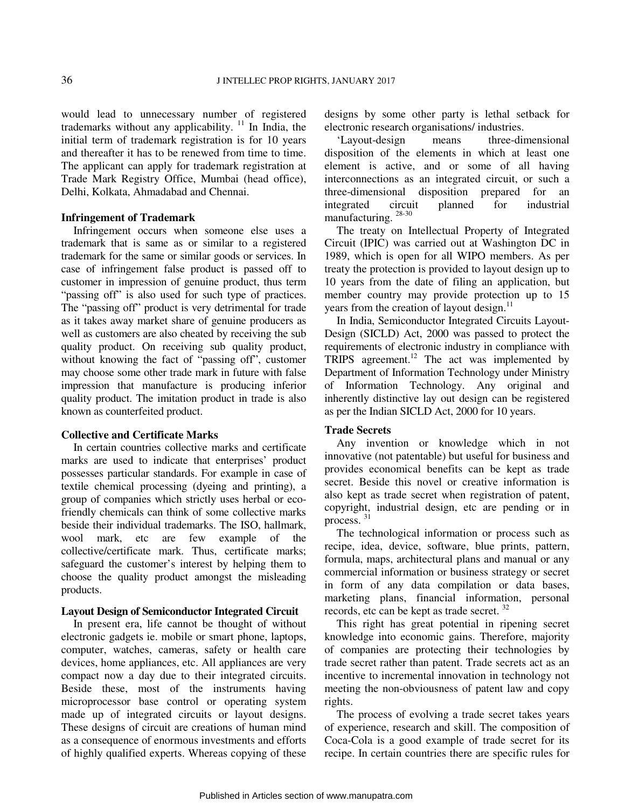would lead to unnecessary number of registered trademarks without any applicability.  $\frac{11}{11}$  In India, the initial term of trademark registration is for 10 years and thereafter it has to be renewed from time to time. The applicant can apply for trademark registration at Trade Mark Registry Office, Mumbai (head office), Delhi, Kolkata, Ahmadabad and Chennai.

#### **Infringement of Trademark**

Infringement occurs when someone else uses a trademark that is same as or similar to a registered trademark for the same or similar goods or services. In case of infringement false product is passed off to customer in impression of genuine product, thus term "passing off" is also used for such type of practices. The "passing off" product is very detrimental for trade as it takes away market share of genuine producers as well as customers are also cheated by receiving the sub quality product. On receiving sub quality product, without knowing the fact of "passing off", customer may choose some other trade mark in future with false impression that manufacture is producing inferior quality product. The imitation product in trade is also known as counterfeited product.

#### **Collective and Certificate Marks**

In certain countries collective marks and certificate marks are used to indicate that enterprises' product possesses particular standards. For example in case of textile chemical processing (dyeing and printing), a group of companies which strictly uses herbal or ecofriendly chemicals can think of some collective marks beside their individual trademarks. The ISO, hallmark, wool mark, etc are few example of the collective/certificate mark. Thus, certificate marks; safeguard the customer's interest by helping them to choose the quality product amongst the misleading products.

# **Layout Design of Semiconductor Integrated Circuit**

In present era, life cannot be thought of without electronic gadgets ie. mobile or smart phone, laptops, computer, watches, cameras, safety or health care devices, home appliances, etc. All appliances are very compact now a day due to their integrated circuits. Beside these, most of the instruments having microprocessor base control or operating system made up of integrated circuits or layout designs. These designs of circuit are creations of human mind as a consequence of enormous investments and efforts of highly qualified experts. Whereas copying of these

designs by some other party is lethal setback for electronic research organisations/ industries.

'Layout-design means three-dimensional disposition of the elements in which at least one element is active, and or some of all having interconnections as an integrated circuit, or such a three-dimensional disposition prepared for an integrated circuit planned for industrial manufacturing. 28-30

The treaty on Intellectual Property of Integrated Circuit (IPIC) was carried out at Washington DC in 1989, which is open for all WIPO members. As per treaty the protection is provided to layout design up to 10 years from the date of filing an application, but member country may provide protection up to 15 years from the creation of layout design.<sup>11</sup>

In India, Semiconductor Integrated Circuits Layout-Design (SICLD) Act, 2000 was passed to protect the requirements of electronic industry in compliance with TRIPS agreement.<sup>12</sup> The act was implemented by Department of Information Technology under Ministry of Information Technology. Any original and inherently distinctive lay out design can be registered as per the Indian SICLD Act, 2000 for 10 years.

#### **Trade Secrets**

Any invention or knowledge which in not innovative (not patentable) but useful for business and provides economical benefits can be kept as trade secret. Beside this novel or creative information is also kept as trade secret when registration of patent, copyright, industrial design, etc are pending or in process.<sup>31</sup>

The technological information or process such as recipe, idea, device, software, blue prints, pattern, formula, maps, architectural plans and manual or any commercial information or business strategy or secret in form of any data compilation or data bases, marketing plans, financial information, personal records, etc can be kept as trade secret.<sup>32</sup>

This right has great potential in ripening secret knowledge into economic gains. Therefore, majority of companies are protecting their technologies by trade secret rather than patent. Trade secrets act as an incentive to incremental innovation in technology not meeting the non-obviousness of patent law and copy rights.

The process of evolving a trade secret takes years of experience, research and skill. The composition of Coca-Cola is a good example of trade secret for its recipe. In certain countries there are specific rules for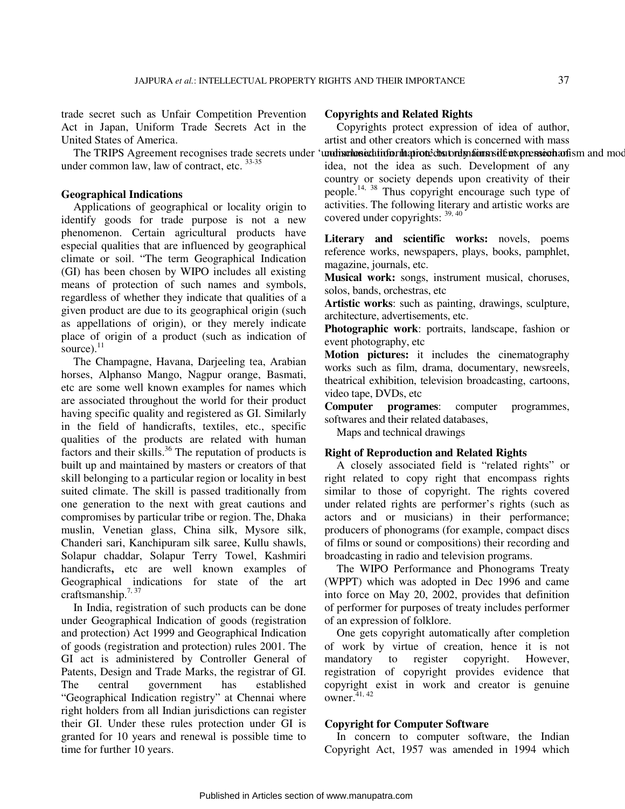trade secret such as Unfair Competition Prevention Act in Japan, Uniform Trade Secrets Act in the United States of America.

under common law, law of contract, etc.  $33-35$ 

## **Geographical Indications**

Applications of geographical or locality origin to identify goods for trade purpose is not a new phenomenon. Certain agricultural products have especial qualities that are influenced by geographical climate or soil. "The term Geographical Indication (GI) has been chosen by WIPO includes all existing means of protection of such names and symbols, regardless of whether they indicate that qualities of a given product are due to its geographical origin (such as appellations of origin), or they merely indicate place of origin of a product (such as indication of source). $^{11}$ 

The Champagne, Havana, Darjeeling tea, Arabian horses, Alphanso Mango, Nagpur orange, Basmati, etc are some well known examples for names which are associated throughout the world for their product having specific quality and registered as GI. Similarly in the field of handicrafts, textiles, etc., specific qualities of the products are related with human factors and their skills. $36$  The reputation of products is built up and maintained by masters or creators of that skill belonging to a particular region or locality in best suited climate. The skill is passed traditionally from one generation to the next with great cautions and compromises by particular tribe or region. The, Dhaka muslin, Venetian glass, China silk, Mysore silk, Chanderi sari, Kanchipuram silk saree, Kullu shawls, Solapur chaddar, Solapur Terry Towel, Kashmiri handicrafts**,** etc are well known examples of Geographical indications for state of the art craftsmanship. $7,37$ 

In India, registration of such products can be done under Geographical Indication of goods (registration and protection) Act 1999 and Geographical Indication of goods (registration and protection) rules 2001. The GI act is administered by Controller General of Patents, Design and Trade Marks, the registrar of GI. The central government has established "Geographical Indication registry" at Chennai where right holders from all Indian jurisdictions can register their GI. Under these rules protection under GI is granted for 10 years and renewal is possible time to time for further 10 years.

## **Copyrights and Related Rights**

The TRIPS Agreement recognises trade secrets under 'undischosicalinformationed and mains in the transient of mean Copyrights protect expression of idea of author, artist and other creators which is concerned with mass idea, not the idea as such. Development of any country or society depends upon creativity of their people.<sup>14, 38</sup> Thus copyright encourage such type of activities. The following literary and artistic works are covered under copyrights:  $39, 40$ 

> **Literary and scientific works:** novels, poems reference works, newspapers, plays, books, pamphlet, magazine, journals, etc.

> **Musical work:** songs, instrument musical, choruses, solos, bands, orchestras, etc

> **Artistic works**: such as painting, drawings, sculpture, architecture, advertisements, etc.

> **Photographic work**: portraits, landscape, fashion or event photography, etc

> **Motion pictures:** it includes the cinematography works such as film, drama, documentary, newsreels, theatrical exhibition, television broadcasting, cartoons, video tape, DVDs, etc

> **Computer programes**: computer programmes, softwares and their related databases,

Maps and technical drawings

#### **Right of Reproduction and Related Rights**

A closely associated field is "related rights" or right related to copy right that encompass rights similar to those of copyright. The rights covered under related rights are performer's rights (such as actors and or musicians) in their performance; producers of phonograms (for example, compact discs of films or sound or compositions) their recording and broadcasting in radio and television programs.

The WIPO Performance and Phonograms Treaty (WPPT) which was adopted in Dec 1996 and came into force on May 20, 2002, provides that definition of performer for purposes of treaty includes performer of an expression of folklore.

One gets copyright automatically after completion of work by virtue of creation, hence it is not mandatory to register copyright. However, registration of copyright provides evidence that copyright exist in work and creator is genuine owner. $41, 42$ 

#### **Copyright for Computer Software**

In concern to computer software, the Indian Copyright Act, 1957 was amended in 1994 which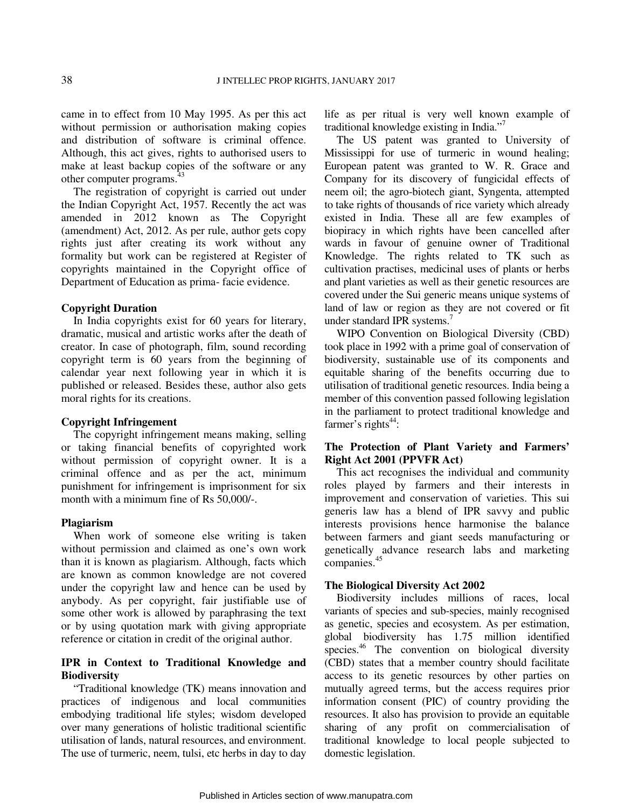came in to effect from 10 May 1995. As per this act without permission or authorisation making copies and distribution of software is criminal offence. Although, this act gives, rights to authorised users to make at least backup copies of the software or any other computer programs.<sup>43</sup>

The registration of copyright is carried out under the Indian Copyright Act, 1957. Recently the act was amended in 2012 known as The Copyright (amendment) Act, 2012. As per rule, author gets copy rights just after creating its work without any formality but work can be registered at Register of copyrights maintained in the Copyright office of Department of Education as prima- facie evidence.

## **Copyright Duration**

In India copyrights exist for 60 years for literary, dramatic, musical and artistic works after the death of creator. In case of photograph, film, sound recording copyright term is 60 years from the beginning of calendar year next following year in which it is published or released. Besides these, author also gets moral rights for its creations.

#### **Copyright Infringement**

The copyright infringement means making, selling or taking financial benefits of copyrighted work without permission of copyright owner. It is a criminal offence and as per the act, minimum punishment for infringement is imprisonment for six month with a minimum fine of Rs 50,000/-.

#### **Plagiarism**

When work of someone else writing is taken without permission and claimed as one's own work than it is known as plagiarism. Although, facts which are known as common knowledge are not covered under the copyright law and hence can be used by anybody. As per copyright, fair justifiable use of some other work is allowed by paraphrasing the text or by using quotation mark with giving appropriate reference or citation in credit of the original author.

# **IPR in Context to Traditional Knowledge and Biodiversity**

"Traditional knowledge (TK) means innovation and practices of indigenous and local communities embodying traditional life styles; wisdom developed over many generations of holistic traditional scientific utilisation of lands, natural resources, and environment. The use of turmeric, neem, tulsi, etc herbs in day to day

life as per ritual is very well known example of traditional knowledge existing in India."

The US patent was granted to University of Mississippi for use of turmeric in wound healing; European patent was granted to W. R. Grace and Company for its discovery of fungicidal effects of neem oil; the agro-biotech giant, Syngenta, attempted to take rights of thousands of rice variety which already existed in India. These all are few examples of biopiracy in which rights have been cancelled after wards in favour of genuine owner of Traditional Knowledge. The rights related to TK such as cultivation practises, medicinal uses of plants or herbs and plant varieties as well as their genetic resources are covered under the Sui generic means unique systems of land of law or region as they are not covered or fit under standard IPR systems.<sup>7</sup>

WIPO Convention on Biological Diversity (CBD) took place in 1992 with a prime goal of conservation of biodiversity, sustainable use of its components and equitable sharing of the benefits occurring due to utilisation of traditional genetic resources. India being a member of this convention passed following legislation in the parliament to protect traditional knowledge and farmer's rights $44$ :

# **The Protection of Plant Variety and Farmers' Right Act 2001 (PPVFR Act)**

This act recognises the individual and community roles played by farmers and their interests in improvement and conservation of varieties. This sui generis law has a blend of IPR savvy and public interests provisions hence harmonise the balance between farmers and giant seeds manufacturing or genetically advance research labs and marketing companies.<sup>45</sup>

#### **The Biological Diversity Act 2002**

Biodiversity includes millions of races, local variants of species and sub-species, mainly recognised as genetic, species and ecosystem. As per estimation, global biodiversity has 1.75 million identified species.<sup>46</sup> The convention on biological diversity (CBD) states that a member country should facilitate access to its genetic resources by other parties on mutually agreed terms, but the access requires prior information consent (PIC) of country providing the resources. It also has provision to provide an equitable sharing of any profit on commercialisation of traditional knowledge to local people subjected to domestic legislation.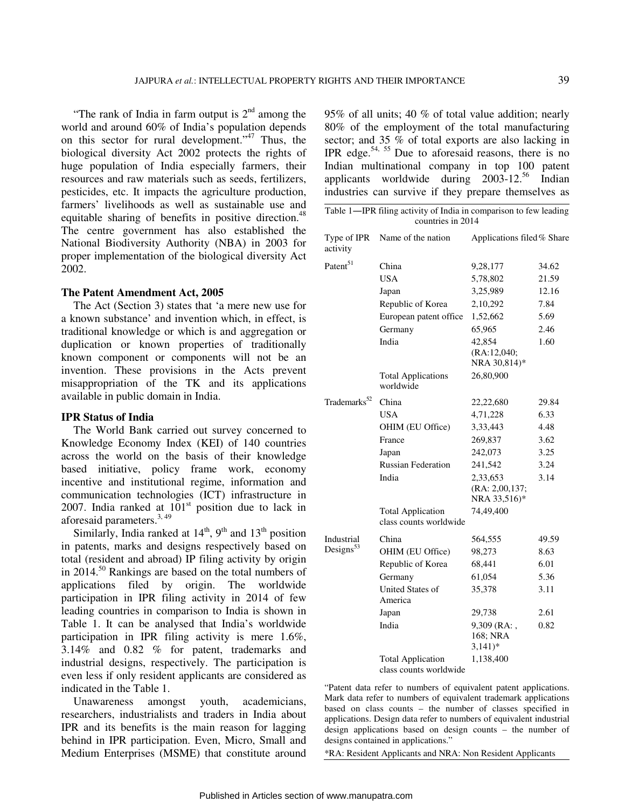"The rank of India in farm output is  $2<sup>nd</sup>$  among the world and around 60% of India's population depends on this sector for rural development."<sup>47</sup> Thus, the biological diversity Act 2002 protects the rights of huge population of India especially farmers, their resources and raw materials such as seeds, fertilizers, pesticides, etc. It impacts the agriculture production, farmers' livelihoods as well as sustainable use and equitable sharing of benefits in positive direction.<sup>48</sup> The centre government has also established the National Biodiversity Authority (NBA) in 2003 for proper implementation of the biological diversity Act 2002.

#### **The Patent Amendment Act, 2005**

The Act (Section 3) states that 'a mere new use for a known substance' and invention which, in effect, is traditional knowledge or which is and aggregation or duplication or known properties of traditionally known component or components will not be an invention. These provisions in the Acts prevent misappropriation of the TK and its applications available in public domain in India.

# **IPR Status of India**

The World Bank carried out survey concerned to Knowledge Economy Index (KEI) of 140 countries across the world on the basis of their knowledge based initiative, policy frame work, economy incentive and institutional regime, information and communication technologies (ICT) infrastructure in 2007. India ranked at  $101<sup>st</sup>$  position due to lack in aforesaid parameters.<sup>3, 49</sup>

Similarly, India ranked at  $14<sup>th</sup>$ ,  $9<sup>th</sup>$  and  $13<sup>th</sup>$  position in patents, marks and designs respectively based on total (resident and abroad) IP filing activity by origin in 2014.<sup>50</sup> Rankings are based on the total numbers of applications filed by origin. The worldwide participation in IPR filing activity in 2014 of few leading countries in comparison to India is shown in Table 1. It can be analysed that India's worldwide participation in IPR filing activity is mere 1.6%, 3.14% and 0.82 % for patent, trademarks and industrial designs, respectively. The participation is even less if only resident applicants are considered as indicated in the Table 1.

Unawareness amongst youth, academicians, researchers, industrialists and traders in India about IPR and its benefits is the main reason for lagging behind in IPR participation. Even, Micro, Small and Medium Enterprises (MSME) that constitute around 95% of all units; 40 % of total value addition; nearly 80% of the employment of the total manufacturing sector; and 35 % of total exports are also lacking in IPR edge.<sup>54, 55</sup> Due to aforesaid reasons, there is no Indian multinational company in top 100 patent applicants worldwide during 2003-12.<sup>56</sup> Indian industries can survive if they prepare themselves as

| Table 1-IPR filing activity of India in comparison to few leading<br>countries in 2014 |                                                    |                                            |       |
|----------------------------------------------------------------------------------------|----------------------------------------------------|--------------------------------------------|-------|
| Type of IPR<br>activity                                                                | Name of the nation                                 | Applications filed% Share                  |       |
| Patent <sup>51</sup>                                                                   | China                                              | 9,28,177                                   | 34.62 |
|                                                                                        | <b>USA</b>                                         | 5,78,802                                   | 21.59 |
|                                                                                        | Japan                                              | 3,25,989                                   | 12.16 |
|                                                                                        | Republic of Korea                                  | 2,10,292                                   | 7.84  |
|                                                                                        | European patent office                             | 1,52,662                                   | 5.69  |
|                                                                                        | Germany                                            | 65,965                                     | 2.46  |
|                                                                                        | India                                              | 42,854<br>(RA:12,040;<br>NRA 30,814)*      | 1.60  |
|                                                                                        | <b>Total Applications</b><br>worldwide             | 26,80,900                                  |       |
| Trademarks <sup>52</sup>                                                               | China                                              | 22,22,680                                  | 29.84 |
|                                                                                        | <b>USA</b>                                         | 4,71,228                                   | 6.33  |
|                                                                                        | OHIM (EU Office)                                   | 3, 33, 443                                 | 4.48  |
|                                                                                        | France                                             | 269,837                                    | 3.62  |
|                                                                                        | Japan                                              | 242,073                                    | 3.25  |
|                                                                                        | <b>Russian Federation</b>                          | 241,542                                    | 3.24  |
|                                                                                        | India                                              | 2,33,653<br>(RA: 2,00,137;<br>NRA 33,516)* | 3.14  |
|                                                                                        | <b>Total Application</b><br>class counts worldwide | 74,49,400                                  |       |
| Industrial<br>Designs $53$                                                             | China                                              | 564,555                                    | 49.59 |
|                                                                                        | OHIM (EU Office)                                   | 98,273                                     | 8.63  |
|                                                                                        | Republic of Korea                                  | 68,441                                     | 6.01  |
|                                                                                        | Germany                                            | 61,054                                     | 5.36  |
|                                                                                        | United States of<br>America                        | 35,378                                     | 3.11  |
|                                                                                        | Japan                                              | 29,738                                     | 2.61  |
|                                                                                        | India                                              | $9,309$ (RA:,<br>168; NRA<br>$(3,141)*$    | 0.82  |
|                                                                                        | <b>Total Application</b><br>class counts worldwide | 1,138,400                                  |       |

"Patent data refer to numbers of equivalent patent applications. Mark data refer to numbers of equivalent trademark applications based on class counts – the number of classes specified in applications. Design data refer to numbers of equivalent industrial design applications based on design counts – the number of designs contained in applications."

\*RA: Resident Applicants and NRA: Non Resident Applicants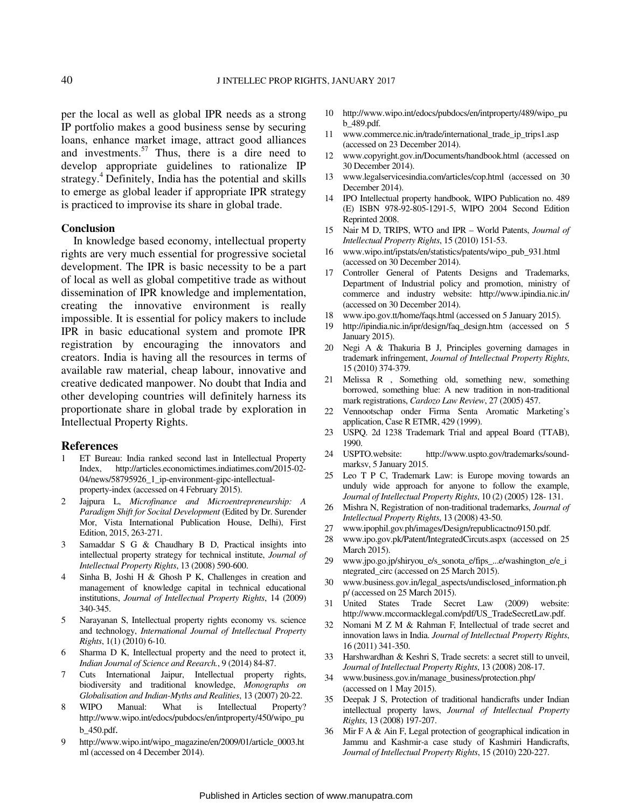per the local as well as global IPR needs as a strong IP portfolio makes a good business sense by securing loans, enhance market image, attract good alliances and investments. $57$  Thus, there is a dire need to develop appropriate guidelines to rationalize IP strategy.<sup>4</sup> Definitely, India has the potential and skills to emerge as global leader if appropriate IPR strategy is practiced to improvise its share in global trade.

#### **Conclusion**

In knowledge based economy, intellectual property rights are very much essential for progressive societal development. The IPR is basic necessity to be a part of local as well as global competitive trade as without dissemination of IPR knowledge and implementation, creating the innovative environment is really impossible. It is essential for policy makers to include IPR in basic educational system and promote IPR registration by encouraging the innovators and creators. India is having all the resources in terms of available raw material, cheap labour, innovative and creative dedicated manpower. No doubt that India and other developing countries will definitely harness its proportionate share in global trade by exploration in Intellectual Property Rights.

#### **References**

- 1 ET Bureau: India ranked second last in Intellectual Property Index, http://articles.economictimes.indiatimes.com/2015-02- 04/news/58795926\_1\_ip-environment-gipc-intellectualproperty-index (accessed on 4 February 2015).
- 2 Jajpura L, *Microfinance and Microentrepreneurship: A Paradigm Shift for Socital Development* (Edited by Dr. Surender Mor, Vista International Publication House, Delhi), First Edition, 2015, 263-271.
- 3 Samaddar S G & Chaudhary B D, Practical insights into intellectual property strategy for technical institute, *Journal of Intellectual Property Rights*, 13 (2008) 590-600.
- 4 Sinha B, Joshi H & Ghosh P K, Challenges in creation and management of knowledge capital in technical educational institutions, *Journal of Intellectual Property Rights*, 14 (2009) 340-345.
- 5 Narayanan S, Intellectual property rights economy vs. science and technology, *International Journal of Intellectual Property Rights*, 1(1) (2010) 6-10.
- 6 Sharma D K, Intellectual property and the need to protect it, *Indian Journal of Science and Reearch.*, 9 (2014) 84-87.
- 7 Cuts International Jaipur, Intellectual property rights, biodiversity and traditional knowledge, *Monographs on Globalisation and Indian-Myths and Realities*, 13 (2007) 20-22.
- 8 WIPO Manual: What is Intellectual Property? http://www.wipo.int/edocs/pubdocs/en/intproperty/450/wipo\_pu b\_450.pdf.
- 9 http://www.wipo.int/wipo\_magazine/en/2009/01/article\_0003.ht ml (accessed on 4 December 2014).
- 10 http://www.wipo.int/edocs/pubdocs/en/intproperty/489/wipo\_pu b\_489.pdf.
- 11 www.commerce.nic.in/trade/international\_trade\_ip\_trips1.asp (accessed on 23 December 2014).
- 12 www.copyright.gov.in/Documents/handbook.html (accessed on 30 December 2014).
- 13 www.legalservicesindia.com/articles/cop.html (accessed on 30 December 2014).
- 14 IPO Intellectual property handbook, WIPO Publication no. 489 (E) ISBN 978-92-805-1291-5, WIPO 2004 Second Edition Reprinted 2008.
- 15 Nair M D, TRIPS, WTO and IPR World Patents, *Journal of Intellectual Property Rights*, 15 (2010) 151-53.
- 16 www.wipo.int/ipstats/en/statistics/patents/wipo\_pub\_931.html (accessed on 30 December 2014).
- 17 Controller General of Patents Designs and Trademarks, Department of Industrial policy and promotion, ministry of commerce and industry website: http://www.ipindia.nic.in/ (accessed on 30 December 2014).
- 18 www.ipo.gov.tt/home/faqs.html (accessed on 5 January 2015).
- http://ipindia.nic.in/ipr/design/faq\_design.htm (accessed on 5 January 2015).
- 20 Negi A & Thakuria B J, Principles governing damages in trademark infringement, *Journal of Intellectual Property Rights*, 15 (2010) 374-379.
- 21 Melissa R , Something old, something new, something borrowed, something blue: A new tradition in non-traditional mark registrations, *Cardozo Law Review*, 27 (2005) 457.
- 22 Vennootschap onder Firma Senta Aromatic Marketing's application, Case R ETMR, 429 (1999).
- 23 USPQ. 2d 1238 Trademark Trial and appeal Board (TTAB), 1990.
- 24 USPTO.website: http://www.uspto.gov/trademarks/soundmarksv, 5 January 2015.
- 25 Leo T P C, Trademark Law: is Europe moving towards an unduly wide approach for anyone to follow the example, *Journal of Intellectual Property Rights*, 10 (2) (2005) 128- 131.
- 26 Mishra N, Registration of non-traditional trademarks, *Journal of Intellectual Property Rights*, 13 (2008) 43-50.
- 27 www.ipophil.gov.ph/images/Design/republicactno9150.pdf.
- 28 www.ipo.gov.pk/Patent/IntegratedCircuts.aspx (accessed on 25 March 2015).
- 29 www.jpo.go.jp/shiryou\_e/s\_sonota\_e/fips\_...e/washington\_e/e\_i ntegrated\_circ (accessed on 25 March 2015).
- 30 www.business.gov.in/legal\_aspects/undisclosed\_information.ph p/ (accessed on 25 March 2015).
- 31 United States Trade Secret Law (2009) website: http://www.mccormacklegal.com/pdf/US\_TradeSecretLaw.pdf.
- 32 Nomani M Z M & Rahman F, Intellectual of trade secret and innovation laws in India. *Journal of Intellectual Property Rights*, 16 (2011) 341-350.
- 33 Harshwardhan & Keshri S, Trade secrets: a secret still to unveil, *Journal of Intellectual Property Rights*, 13 (2008) 208-17.
- 34 www.business.gov.in/manage\_business/protection.php/ (accessed on 1 May 2015).
- 35 Deepak J S, Protection of traditional handicrafts under Indian intellectual property laws, *Journal of Intellectual Property Rights*, 13 (2008) 197-207.
- 36 Mir F A & Ain F, Legal protection of geographical indication in Jammu and Kashmir-a case study of Kashmiri Handicrafts, *Journal of Intellectual Property Rights*, 15 (2010) 220-227.